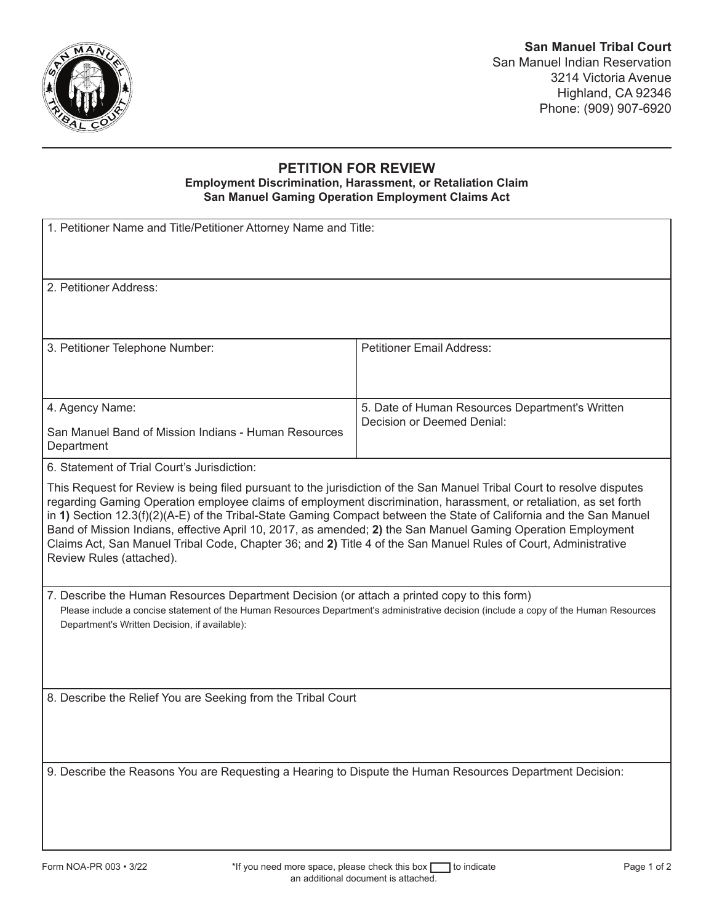

## **PETITION FOR REVIEW**

## **Employment Discrimination, Harassment, or Retaliation Claim San Manuel Gaming Operation Employment Claims Act**

| 1. Petitioner Name and Title/Petitioner Attorney Name and Title:                                                                                                                                                                                                                                                                                                                                                                                                                                                                                                                                                                  |                                                 |
|-----------------------------------------------------------------------------------------------------------------------------------------------------------------------------------------------------------------------------------------------------------------------------------------------------------------------------------------------------------------------------------------------------------------------------------------------------------------------------------------------------------------------------------------------------------------------------------------------------------------------------------|-------------------------------------------------|
| 2. Petitioner Address:                                                                                                                                                                                                                                                                                                                                                                                                                                                                                                                                                                                                            |                                                 |
| 3. Petitioner Telephone Number:                                                                                                                                                                                                                                                                                                                                                                                                                                                                                                                                                                                                   | <b>Petitioner Email Address:</b>                |
| 4. Agency Name:                                                                                                                                                                                                                                                                                                                                                                                                                                                                                                                                                                                                                   | 5. Date of Human Resources Department's Written |
| San Manuel Band of Mission Indians - Human Resources<br>Department                                                                                                                                                                                                                                                                                                                                                                                                                                                                                                                                                                | Decision or Deemed Denial:                      |
| 6. Statement of Trial Court's Jurisdiction:                                                                                                                                                                                                                                                                                                                                                                                                                                                                                                                                                                                       |                                                 |
| This Request for Review is being filed pursuant to the jurisdiction of the San Manuel Tribal Court to resolve disputes<br>regarding Gaming Operation employee claims of employment discrimination, harassment, or retaliation, as set forth<br>in 1) Section 12.3(f)(2)(A-E) of the Tribal-State Gaming Compact between the State of California and the San Manuel<br>Band of Mission Indians, effective April 10, 2017, as amended; 2) the San Manuel Gaming Operation Employment<br>Claims Act, San Manuel Tribal Code, Chapter 36; and 2) Title 4 of the San Manuel Rules of Court, Administrative<br>Review Rules (attached). |                                                 |
| 7. Describe the Human Resources Department Decision (or attach a printed copy to this form)<br>Please include a concise statement of the Human Resources Department's administrative decision (include a copy of the Human Resources<br>Department's Written Decision, if available):                                                                                                                                                                                                                                                                                                                                             |                                                 |
| 8. Describe the Relief You are Seeking from the Tribal Court                                                                                                                                                                                                                                                                                                                                                                                                                                                                                                                                                                      |                                                 |
| 9. Describe the Reasons You are Requesting a Hearing to Dispute the Human Resources Department Decision:                                                                                                                                                                                                                                                                                                                                                                                                                                                                                                                          |                                                 |